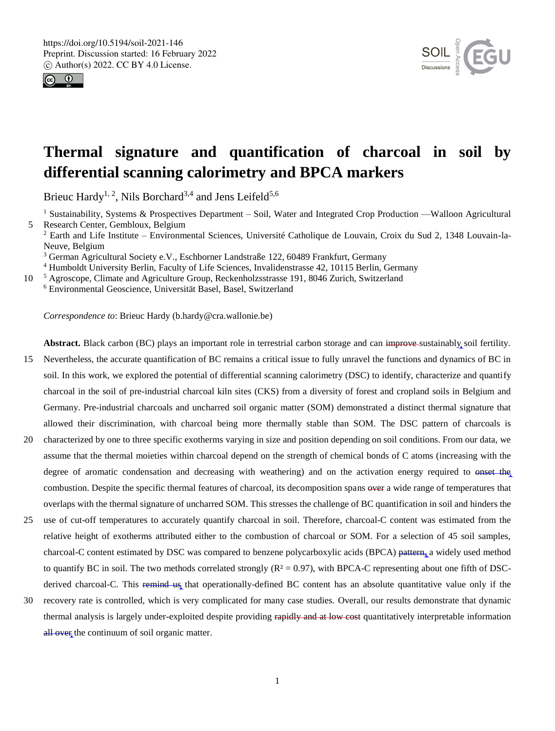



# **Thermal signature and quantification of charcoal in soil by differential scanning calorimetry and BPCA markers**

Brieuc Hardy<sup>1, 2</sup>, Nils Borchard<sup>3,4</sup> and Jens Leifeld<sup>5,6</sup>

<sup>1</sup> Sustainability, Systems & Prospectives Department – Soil, Water and Integrated Crop Production —Walloon Agricultural 5 Research Center, Gembloux, Belgium

<sup>2</sup> Earth and Life Institute – Environmental Sciences, Université Catholique de Louvain, Croix du Sud 2, 1348 Louvain-la-Neuve, Belgium

<sup>3</sup> German Agricultural Society e.V., Eschborner Landstraße 122, 60489 Frankfurt, Germany

<sup>4</sup> Humboldt University Berlin, Faculty of Life Sciences, Invalidenstrasse 42, 10115 Berlin, Germany

10 <sup>5</sup> Agroscope, Climate and Agriculture Group, Reckenholzsstrasse 191, 8046 Zurich, Switzerland <sup>6</sup> Environmental Geoscience, Universität Basel, Basel, Switzerland

*Correspondence to*: Brieuc Hardy (b.hardy@cra.wallonie.be)

**Abstract.** Black carbon (BC) plays an important role in terrestrial carbon storage and can improve sustainably soil fertility.

- 15 Nevertheless, the accurate quantification of BC remains a critical issue to fully unravel the functions and dynamics of BC in soil. In this work, we explored the potential of differential scanning calorimetry (DSC) to identify, characterize and quantify charcoal in the soil of pre-industrial charcoal kiln sites (CKS) from a diversity of forest and cropland soils in Belgium and Germany. Pre-industrial charcoals and uncharred soil organic matter (SOM) demonstrated a distinct thermal signature that allowed their discrimination, with charcoal being more thermally stable than SOM. The DSC pattern of charcoals is
- 20 characterized by one to three specific exotherms varying in size and position depending on soil conditions. From our data, we assume that the thermal moieties within charcoal depend on the strength of chemical bonds of C atoms (increasing with the degree of aromatic condensation and decreasing with weathering) and on the activation energy required to onset the combustion. Despite the specific thermal features of charcoal, its decomposition spans over a wide range of temperatures that overlaps with the thermal signature of uncharred SOM. This stresses the challenge of BC quantification in soil and hinders the
- 25 use of cut-off temperatures to accurately quantify charcoal in soil. Therefore, charcoal-C content was estimated from the relative height of exotherms attributed either to the combustion of charcoal or SOM. For a selection of 45 soil samples, charcoal-C content estimated by DSC was compared to benzene polycarboxylic acids (BPCA) pattern, a widely used method to quantify BC in soil. The two methods correlated strongly  $(R^2 = 0.97)$ , with BPCA-C representing about one fifth of DSCderived charcoal-C. This remind us that operationally-defined BC content has an absolute quantitative value only if the
- 30 recovery rate is controlled, which is very complicated for many case studies. Overall, our results demonstrate that dynamic thermal analysis is largely under-exploited despite providing rapidly and at low cost quantitatively interpretable information all over the continuum of soil organic matter.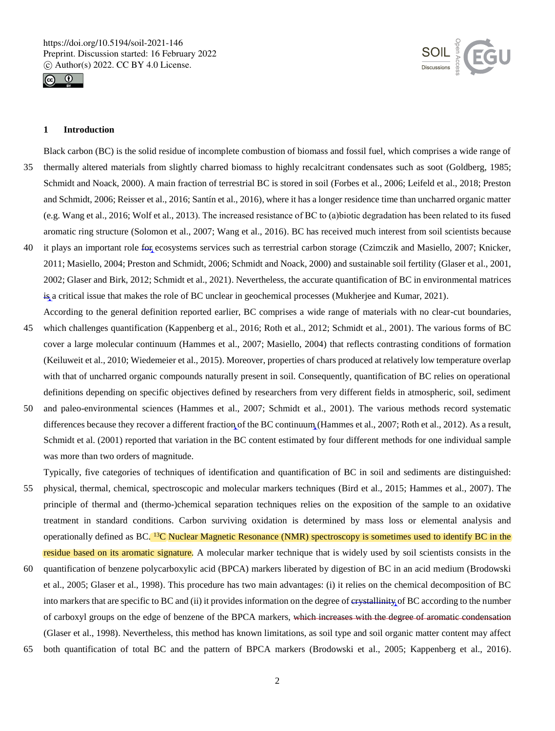



# **1 Introduction**

Black carbon (BC) is the solid residue of incomplete combustion of biomass and fossil fuel, which comprises a wide range of 35 thermally altered materials from slightly charred biomass to highly recalcitrant condensates such as soot (Goldberg, 1985; Schmidt and Noack, 2000). A main fraction of terrestrial BC is stored in soil (Forbes et al., 2006; Leifeld et al., 2018; Preston and Schmidt, 2006; Reisser et al., 2016; Santín et al., 2016), where it has a longer residence time than uncharred organic matter (e.g. Wang et al., 2016; Wolf et al., 2013). The increased resistance of BC to (a)biotic degradation has been related to its fused aromatic ring structure (Solomon et al., 2007; Wang et al., 2016). BC has received much interest from soil scientists because

- 40 it plays an important role for ecosystems services such as terrestrial carbon storage (Czimczik and Masiello, 2007; Knicker, 2011; Masiello, 2004; Preston and Schmidt, 2006; Schmidt and Noack, 2000) and sustainable soil fertility (Glaser et al., 2001, 2002; Glaser and Birk, 2012; Schmidt et al., 2021). Nevertheless, the accurate quantification of BC in environmental matrices is a critical issue that makes the role of BC unclear in geochemical processes (Mukherjee and Kumar, 2021). According to the general definition reported earlier, BC comprises a wide range of materials with no clear-cut boundaries,
- 45 which challenges quantification (Kappenberg et al., 2016; Roth et al., 2012; Schmidt et al., 2001). The various forms of BC cover a large molecular continuum (Hammes et al., 2007; Masiello, 2004) that reflects contrasting conditions of formation (Keiluweit et al., 2010; Wiedemeier et al., 2015). Moreover, properties of chars produced at relatively low temperature overlap with that of uncharred organic compounds naturally present in soil. Consequently, quantification of BC relies on operational definitions depending on specific objectives defined by researchers from very different fields in atmospheric, soil, sediment
- 50 and paleo-environmental sciences (Hammes et al., 2007; Schmidt et al., 2001). The various methods record systematic differences because they recover a different fraction of the BC continuum (Hammes et al., 2007; Roth et al., 2012). As a result, Schmidt et al. (2001) reported that variation in the BC content estimated by four different methods for one individual sample was more than two orders of magnitude.

Typically, five categories of techniques of identification and quantification of BC in soil and sediments are distinguished:

- 55 physical, thermal, chemical, spectroscopic and molecular markers techniques (Bird et al., 2015; Hammes et al., 2007). The principle of thermal and (thermo-)chemical separation techniques relies on the exposition of the sample to an oxidative treatment in standard conditions. Carbon surviving oxidation is determined by mass loss or elemental analysis and operationally defined as BC. <sup>13</sup>C Nuclear Magnetic Resonance (NMR) spectroscopy is sometimes used to identify BC in the residue based on its aromatic signature. A molecular marker technique that is widely used by soil scientists consists in the
- 60 quantification of benzene polycarboxylic acid (BPCA) markers liberated by digestion of BC in an acid medium (Brodowski et al., 2005; Glaser et al., 1998). This procedure has two main advantages: (i) it relies on the chemical decomposition of BC into markers that are specific to BC and (ii) it provides information on the degree of crystallinity of BC according to the number of carboxyl groups on the edge of benzene of the BPCA markers, which increases with the degree of aromatic condensation (Glaser et al., 1998). Nevertheless, this method has known limitations, as soil type and soil organic matter content may affect
- 65 both quantification of total BC and the pattern of BPCA markers (Brodowski et al., 2005; Kappenberg et al., 2016).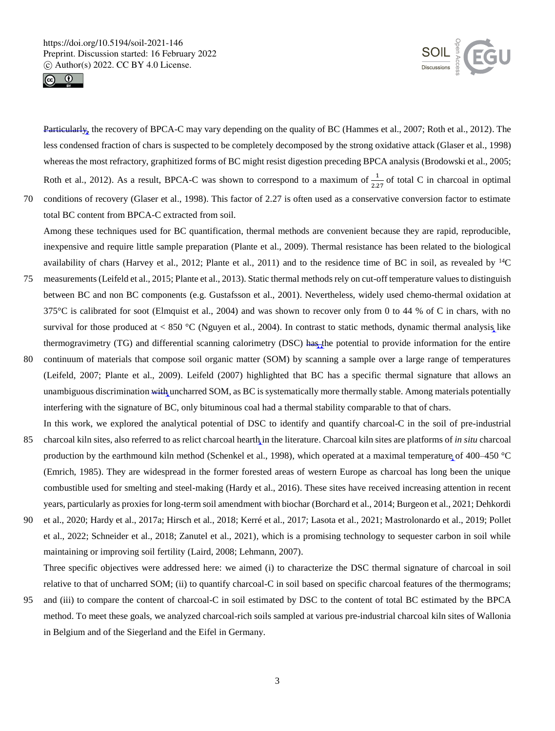



Particularly, the recovery of BPCA-C may vary depending on the quality of BC (Hammes et al., 2007; Roth et al., 2012). The less condensed fraction of chars is suspected to be completely decomposed by the strong oxidative attack (Glaser et al., 1998) whereas the most refractory, graphitized forms of BC might resist digestion preceding BPCA analysis (Brodowski et al., 2005; Roth et al., 2012). As a result, BPCA-C was shown to correspond to a maximum of  $\frac{1}{2.27}$  of total C in charcoal in optimal

70 conditions of recovery (Glaser et al., 1998). This factor of 2.27 is often used as a conservative conversion factor to estimate total BC content from BPCA-C extracted from soil.

Among these techniques used for BC quantification, thermal methods are convenient because they are rapid, reproducible, inexpensive and require little sample preparation (Plante et al., 2009). Thermal resistance has been related to the biological availability of chars (Harvey et al., 2012; Plante et al., 2011) and to the residence time of BC in soil, as revealed by <sup>14</sup>C

- 75 measurements (Leifeld et al., 2015; Plante et al., 2013). Static thermal methods rely on cut-off temperature values to distinguish between BC and non BC components (e.g. Gustafsson et al., 2001). Nevertheless, widely used chemo-thermal oxidation at  $375^{\circ}$ C is calibrated for soot (Elmquist et al., 2004) and was shown to recover only from 0 to 44 % of C in chars, with no survival for those produced at  $< 850$  °C (Nguyen et al., 2004). In contrast to static methods, dynamic thermal analysis like thermogravimetry (TG) and differential scanning calorimetry (DSC) has the potential to provide information for the entire
- 80 continuum of materials that compose soil organic matter (SOM) by scanning a sample over a large range of temperatures (Leifeld, 2007; Plante et al., 2009). Leifeld (2007) highlighted that BC has a specific thermal signature that allows an unambiguous discrimination with uncharred SOM, as BC is systematically more thermally stable. Among materials potentially interfering with the signature of BC, only bituminous coal had a thermal stability comparable to that of chars. In this work, we explored the analytical potential of DSC to identify and quantify charcoal-C in the soil of pre-industrial
- 85 charcoal kiln sites, also referred to as relict charcoal hearth in the literature. Charcoal kiln sites are platforms of *in situ* charcoal production by the earthmound kiln method (Schenkel et al., 1998), which operated at a maximal temperature of 400–450 °C (Emrich, 1985). They are widespread in the former forested areas of western Europe as charcoal has long been the unique combustible used for smelting and steel-making (Hardy et al., 2016). These sites have received increasing attention in recent years, particularly as proxies for long-term soil amendment with biochar (Borchard et al., 2014; Burgeon et al., 2021; Dehkordi
- 90 et al., 2020; Hardy et al., 2017a; Hirsch et al., 2018; Kerré et al., 2017; Lasota et al., 2021; Mastrolonardo et al., 2019; Pollet et al., 2022; Schneider et al., 2018; Zanutel et al., 2021), which is a promising technology to sequester carbon in soil while maintaining or improving soil fertility (Laird, 2008; Lehmann, 2007).

Three specific objectives were addressed here: we aimed (i) to characterize the DSC thermal signature of charcoal in soil relative to that of uncharred SOM; (ii) to quantify charcoal-C in soil based on specific charcoal features of the thermograms;

95 and (iii) to compare the content of charcoal-C in soil estimated by DSC to the content of total BC estimated by the BPCA method. To meet these goals, we analyzed charcoal-rich soils sampled at various pre-industrial charcoal kiln sites of Wallonia in Belgium and of the Siegerland and the Eifel in Germany.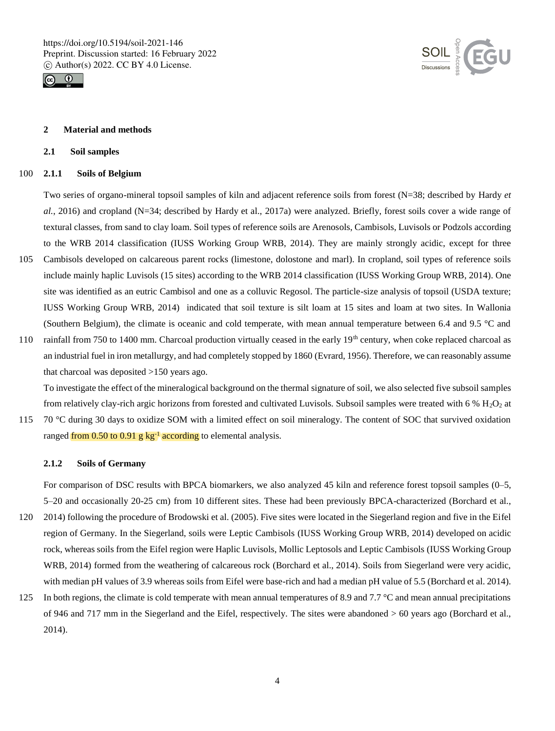



## **2 Material and methods**

#### **2.1 Soil samples**

## 100 **2.1.1 Soils of Belgium**

Two series of organo-mineral topsoil samples of kiln and adjacent reference soils from forest (N=38; described by Hardy *et al.*, 2016) and cropland (N=34; described by Hardy et al., 2017a) were analyzed. Briefly, forest soils cover a wide range of textural classes, from sand to clay loam. Soil types of reference soils are Arenosols, Cambisols, Luvisols or Podzols according to the WRB 2014 classification (IUSS Working Group WRB, 2014). They are mainly strongly acidic, except for three 105 Cambisols developed on calcareous parent rocks (limestone, dolostone and marl). In cropland, soil types of reference soils

- include mainly haplic Luvisols (15 sites) according to the WRB 2014 classification (IUSS Working Group WRB, 2014). One site was identified as an eutric Cambisol and one as a colluvic Regosol. The particle-size analysis of topsoil (USDA texture; IUSS Working Group WRB, 2014) indicated that soil texture is silt loam at 15 sites and loam at two sites. In Wallonia (Southern Belgium), the climate is oceanic and cold temperate, with mean annual temperature between 6.4 and 9.5 °C and
- 110 rainfall from 750 to 1400 mm. Charcoal production virtually ceased in the early  $19<sup>th</sup>$  century, when coke replaced charcoal as an industrial fuel in iron metallurgy, and had completely stopped by 1860 (Evrard, 1956). Therefore, we can reasonably assume that charcoal was deposited >150 years ago.

To investigate the effect of the mineralogical background on the thermal signature of soil, we also selected five subsoil samples from relatively clay-rich argic horizons from forested and cultivated Luvisols. Subsoil samples were treated with  $6\%$  H<sub>2</sub>O<sub>2</sub> at

115 70 °C during 30 days to oxidize SOM with a limited effect on soil mineralogy. The content of SOC that survived oxidation ranged from 0.50 to 0.91 g kg<sup>-1</sup> according to elemental analysis.

# **2.1.2 Soils of Germany**

For comparison of DSC results with BPCA biomarkers, we also analyzed 45 kiln and reference forest topsoil samples (0–5, 5–20 and occasionally 20-25 cm) from 10 different sites. These had been previously BPCA-characterized (Borchard et al.,

- 120 2014) following the procedure of Brodowski et al. (2005). Five sites were located in the Siegerland region and five in the Eifel region of Germany. In the Siegerland, soils were Leptic Cambisols (IUSS Working Group WRB, 2014) developed on acidic rock, whereas soils from the Eifel region were Haplic Luvisols, Mollic Leptosols and Leptic Cambisols (IUSS Working Group WRB, 2014) formed from the weathering of calcareous rock (Borchard et al., 2014). Soils from Siegerland were very acidic, with median pH values of 3.9 whereas soils from Eifel were base-rich and had a median pH value of 5.5 (Borchard et al. 2014).
- 125 In both regions, the climate is cold temperate with mean annual temperatures of 8.9 and 7.7 °C and mean annual precipitations of 946 and 717 mm in the Siegerland and the Eifel, respectively. The sites were abandoned > 60 years ago (Borchard et al., 2014).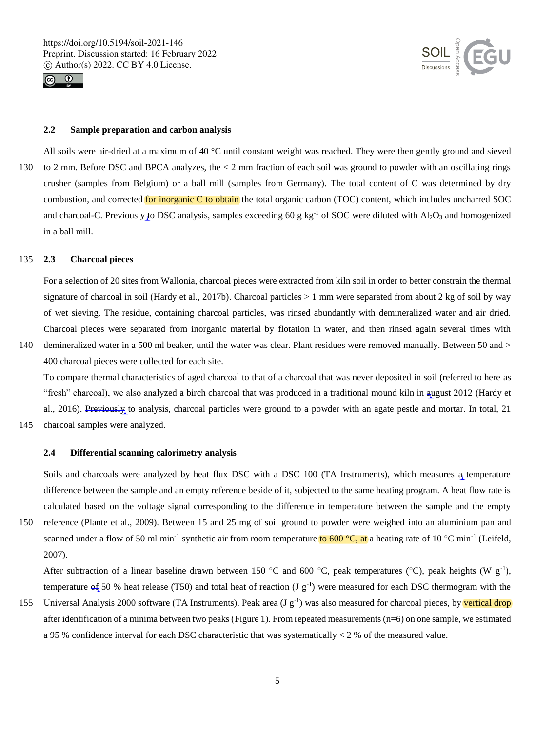



# **2.2 Sample preparation and carbon analysis**

All soils were air-dried at a maximum of 40 °C until constant weight was reached. They were then gently ground and sieved 130 to 2 mm. Before DSC and BPCA analyzes, the < 2 mm fraction of each soil was ground to powder with an oscillating rings crusher (samples from Belgium) or a ball mill (samples from Germany). The total content of C was determined by dry combustion, and corrected for inorganic C to obtain the total organic carbon (TOC) content, which includes uncharred SOC and charcoal-C. Previously to DSC analysis, samples exceeding 60 g kg<sup>-1</sup> of SOC were diluted with Al<sub>2</sub>O<sub>3</sub> and homogenized in a ball mill.

# 135 **2.3 Charcoal pieces**

For a selection of 20 sites from Wallonia, charcoal pieces were extracted from kiln soil in order to better constrain the thermal signature of charcoal in soil (Hardy et al., 2017b). Charcoal particles  $> 1$  mm were separated from about 2 kg of soil by way of wet sieving. The residue, containing charcoal particles, was rinsed abundantly with demineralized water and air dried. Charcoal pieces were separated from inorganic material by flotation in water, and then rinsed again several times with

140 demineralized water in a 500 ml beaker, until the water was clear. Plant residues were removed manually. Between 50 and > 400 charcoal pieces were collected for each site.

To compare thermal characteristics of aged charcoal to that of a charcoal that was never deposited in soil (referred to here as "fresh" charcoal), we also analyzed a birch charcoal that was produced in a traditional mound kiln in august 2012 (Hardy et al., 2016). Previously to analysis, charcoal particles were ground to a powder with an agate pestle and mortar. In total, 21

145 charcoal samples were analyzed.

#### **2.4 Differential scanning calorimetry analysis**

Soils and charcoals were analyzed by heat flux DSC with a DSC 100 (TA Instruments), which measures a temperature difference between the sample and an empty reference beside of it, subjected to the same heating program. A heat flow rate is calculated based on the voltage signal corresponding to the difference in temperature between the sample and the empty

150 reference (Plante et al., 2009). Between 15 and 25 mg of soil ground to powder were weighed into an aluminium pan and scanned under a flow of 50 ml min<sup>-1</sup> synthetic air from room temperature to 600 °C, at a heating rate of 10 °C min<sup>-1</sup> (Leifeld, 2007).

After subtraction of a linear baseline drawn between 150 °C and 600 °C, peak temperatures (°C), peak heights (W  $g^{-1}$ ), temperature  $\text{of}_2$  50 % heat release (T50) and total heat of reaction (J g<sup>-1</sup>) were measured for each DSC thermogram with the

155 Universal Analysis 2000 software (TA Instruments). Peak area (J  $g^{-1}$ ) was also measured for charcoal pieces, by vertical drop after identification of a minima between two peaks (Figure 1). From repeated measurements (n=6) on one sample, we estimated a 95 % confidence interval for each DSC characteristic that was systematically < 2 % of the measured value.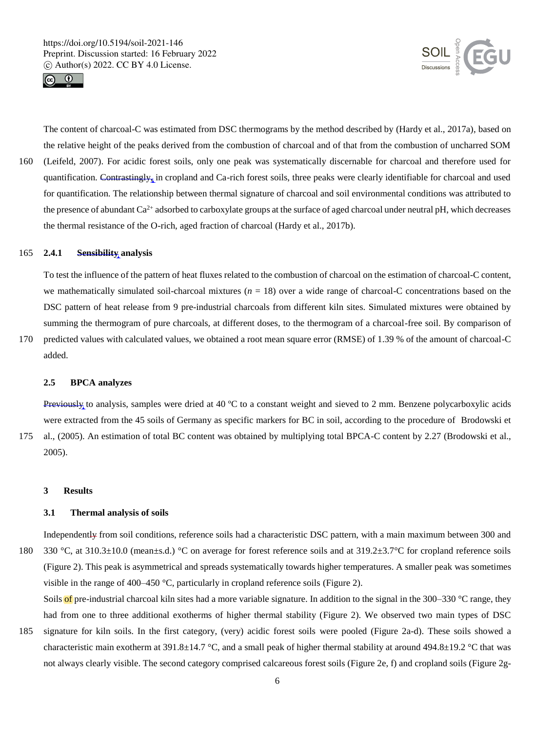



The content of charcoal-C was estimated from DSC thermograms by the method described by (Hardy et al., 2017a), based on the relative height of the peaks derived from the combustion of charcoal and of that from the combustion of uncharred SOM

160 (Leifeld, 2007). For acidic forest soils, only one peak was systematically discernable for charcoal and therefore used for quantification. Contrastingly, in cropland and Ca-rich forest soils, three peaks were clearly identifiable for charcoal and used for quantification. The relationship between thermal signature of charcoal and soil environmental conditions was attributed to the presence of abundant  $Ca^{2+}$  adsorbed to carboxylate groups at the surface of aged charcoal under neutral pH, which decreases the thermal resistance of the O-rich, aged fraction of charcoal (Hardy et al., 2017b).

#### 165 **2.4.1 Sensibility analysis**

To test the influence of the pattern of heat fluxes related to the combustion of charcoal on the estimation of charcoal-C content, we mathematically simulated soil-charcoal mixtures  $(n = 18)$  over a wide range of charcoal-C concentrations based on the DSC pattern of heat release from 9 pre-industrial charcoals from different kiln sites. Simulated mixtures were obtained by summing the thermogram of pure charcoals, at different doses, to the thermogram of a charcoal-free soil. By comparison of

170 predicted values with calculated values, we obtained a root mean square error (RMSE) of 1.39 % of the amount of charcoal-C added.

# **2.5 BPCA analyzes**

Previously to analysis, samples were dried at 40 ºC to a constant weight and sieved to 2 mm. Benzene polycarboxylic acids were extracted from the 45 soils of Germany as specific markers for BC in soil, according to the procedure of Brodowski et

175 al., (2005). An estimation of total BC content was obtained by multiplying total BPCA-C content by 2.27 (Brodowski et al., 2005).

#### **3 Results**

# **3.1 Thermal analysis of soils**

Independently from soil conditions, reference soils had a characteristic DSC pattern, with a main maximum between 300 and 180 330 °C, at 310.3±10.0 (mean±s.d.) °C on average for forest reference soils and at 319.2±3.7°C for cropland reference soils (Figure 2). This peak is asymmetrical and spreads systematically towards higher temperatures. A smaller peak was sometimes visible in the range of 400–450 °C, particularly in cropland reference soils (Figure 2).

Soils of pre-industrial charcoal kiln sites had a more variable signature. In addition to the signal in the 300–330  $\degree$ C range, they had from one to three additional exotherms of higher thermal stability (Figure 2). We observed two main types of DSC

185 signature for kiln soils. In the first category, (very) acidic forest soils were pooled (Figure 2a-d). These soils showed a characteristic main exotherm at 391.8±14.7 °C, and a small peak of higher thermal stability at around 494.8±19.2 °C that was not always clearly visible. The second category comprised calcareous forest soils (Figure 2e, f) and cropland soils (Figure 2g-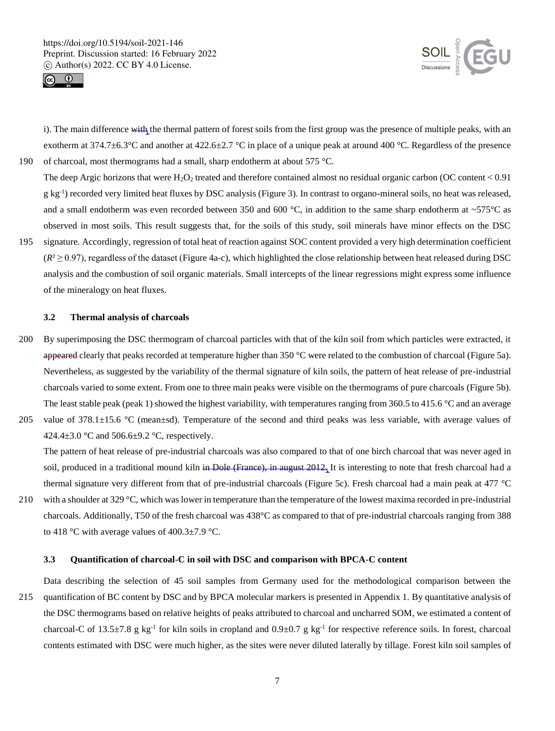



i). The main difference with the thermal pattern of forest soils from the first group was the presence of multiple peaks, with an exotherm at  $374.7\pm6.3^{\circ}$ C and another at  $422.6\pm2.7^{\circ}$ C in place of a unique peak at around 400 °C. Regardless of the presence 190 of charcoal, most thermograms had a small, sharp endotherm at about 575 °C.

- The deep Argic horizons that were  $H_2O_2$  treated and therefore contained almost no residual organic carbon (OC content < 0.91) g kg<sup>-1</sup>) recorded very limited heat fluxes by DSC analysis (Figure 3). In contrast to organo-mineral soils, no heat was released, and a small endotherm was even recorded between 350 and 600  $^{\circ}$ C, in addition to the same sharp endotherm at ~575 $^{\circ}$ C as observed in most soils. This result suggests that, for the soils of this study, soil minerals have minor effects on the DSC
- 195 signature. Accordingly, regression of total heat of reaction against SOC content provided a very high determination coefficient  $(R^2 \ge 0.97)$ , regardless of the dataset (Figure 4a-c), which highlighted the close relationship between heat released during DSC analysis and the combustion of soil organic materials. Small intercepts of the linear regressions might express some influence of the mineralogy on heat fluxes.

# **3.2 Thermal analysis of charcoals**

- 200 By superimposing the DSC thermogram of charcoal particles with that of the kiln soil from which particles were extracted, it appeared clearly that peaks recorded at temperature higher than 350 °C were related to the combustion of charcoal (Figure 5a). Nevertheless, as suggested by the variability of the thermal signature of kiln soils, the pattern of heat release of pre-industrial charcoals varied to some extent. From one to three main peaks were visible on the thermograms of pure charcoals (Figure 5b). The least stable peak (peak 1) showed the highest variability, with temperatures ranging from 360.5 to 415.6  $\degree$ C and an average
- 205 value of  $378.1 \pm 15.6$  °C (mean $\pm$ sd). Temperature of the second and third peaks was less variable, with average values of 424.4 $\pm$ 3.0 °C and 506.6 $\pm$ 9.2 °C, respectively.

The pattern of heat release of pre-industrial charcoals was also compared to that of one birch charcoal that was never aged in soil, produced in a traditional mound kiln in Dole (France), in august  $2012<sub>1</sub>$  It is interesting to note that fresh charcoal had a thermal signature very different from that of pre-industrial charcoals (Figure 5c). Fresh charcoal had a main peak at 477 °C

210 with a shoulder at 329 °C, which was lower in temperature than the temperature of the lowest maxima recorded in pre-industrial charcoals. Additionally, T50 of the fresh charcoal was 438°C as compared to that of pre-industrial charcoals ranging from 388 to 418 °C with average values of  $400.3 \pm 7.9$  °C.

## **3.3 Quantification of charcoal-C in soil with DSC and comparison with BPCA-C content**

Data describing the selection of 45 soil samples from Germany used for the methodological comparison between the 215 quantification of BC content by DSC and by BPCA molecular markers is presented in Appendix 1. By quantitative analysis of the DSC thermograms based on relative heights of peaks attributed to charcoal and uncharred SOM, we estimated a content of charcoal-C of 13.5 $\pm$ 7.8 g kg<sup>-1</sup> for kiln soils in cropland and 0.9 $\pm$ 0.7 g kg<sup>-1</sup> for respective reference soils. In forest, charcoal contents estimated with DSC were much higher, as the sites were never diluted laterally by tillage. Forest kiln soil samples of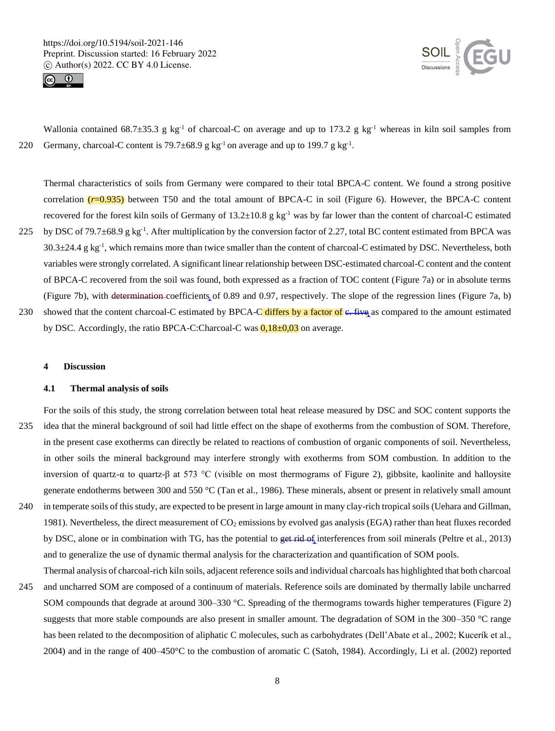



Wallonia contained 68.7 $\pm$ 35.3 g kg<sup>-1</sup> of charcoal-C on average and up to 173.2 g kg<sup>-1</sup> whereas in kiln soil samples from 220 Germany, charcoal-C content is  $79.7\pm68.9$  g kg<sup>-1</sup> on average and up to 199.7 g kg<sup>-1</sup>.

Thermal characteristics of soils from Germany were compared to their total BPCA-C content. We found a strong positive correlation (*r*=0.935) between T50 and the total amount of BPCA-C in soil (Figure 6). However, the BPCA-C content recovered for the forest kiln soils of Germany of  $13.2\pm10.8$  g kg<sup>-1</sup> was by far lower than the content of charcoal-C estimated 225 by DSC of 79.7 $\pm$ 68.9 g kg<sup>-1</sup>. After multiplication by the conversion factor of 2.27, total BC content estimated from BPCA was  $30.3\pm24.4$  g kg<sup>-1</sup>, which remains more than twice smaller than the content of charcoal-C estimated by DSC. Nevertheless, both variables were strongly correlated. A significant linear relationship between DSC-estimated charcoal-C content and the content of BPCA-C recovered from the soil was found, both expressed as a fraction of TOC content (Figure 7a) or in absolute terms (Figure 7b), with determination coefficients of 0.89 and 0.97, respectively. The slope of the regression lines (Figure 7a, b) 230 showed that the content charcoal-C estimated by BPCA-C differs by a factor of  $\epsilon$ . five as compared to the amount estimated

by DSC. Accordingly, the ratio BPCA-C:Charcoal-C was  $0.18\pm0.03$  on average.

**4 Discussion**

#### **4.1 Thermal analysis of soils**

- For the soils of this study, the strong correlation between total heat release measured by DSC and SOC content supports the 235 idea that the mineral background of soil had little effect on the shape of exotherms from the combustion of SOM. Therefore, in the present case exotherms can directly be related to reactions of combustion of organic components of soil. Nevertheless, in other soils the mineral background may interfere strongly with exotherms from SOM combustion. In addition to the inversion of quartz-α to quartz-β at 573 °C (visible on most thermograms of Figure 2), gibbsite, kaolinite and halloysite generate endotherms between 300 and 550 °C (Tan et al., 1986). These minerals, absent or present in relatively small amount 240 in temperate soils of this study, are expected to be present in large amount in many clay-rich tropical soils (Uehara and Gillman,
- 1981). Nevertheless, the direct measurement of  $CO<sub>2</sub>$  emissions by evolved gas analysis (EGA) rather than heat fluxes recorded by DSC, alone or in combination with TG, has the potential to get rid of interferences from soil minerals (Peltre et al., 2013) and to generalize the use of dynamic thermal analysis for the characterization and quantification of SOM pools.
- Thermal analysis of charcoal-rich kiln soils, adjacent reference soils and individual charcoals has highlighted that both charcoal 245 and uncharred SOM are composed of a continuum of materials. Reference soils are dominated by thermally labile uncharred SOM compounds that degrade at around 300–330 °C. Spreading of the thermograms towards higher temperatures (Figure 2) suggests that more stable compounds are also present in smaller amount. The degradation of SOM in the 300–350 °C range has been related to the decomposition of aliphatic C molecules, such as carbohydrates (Dell'Abate et al., 2002; Kucerík et al., 2004) and in the range of 400–450°C to the combustion of aromatic C (Satoh, 1984). Accordingly, Li et al. (2002) reported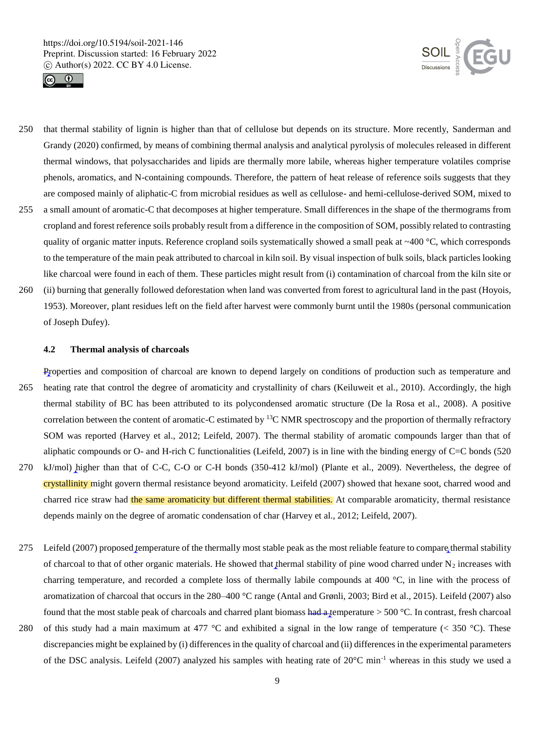



- 250 that thermal stability of lignin is higher than that of cellulose but depends on its structure. More recently, Sanderman and Grandy (2020) confirmed, by means of combining thermal analysis and analytical pyrolysis of molecules released in different thermal windows, that polysaccharides and lipids are thermally more labile, whereas higher temperature volatiles comprise phenols, aromatics, and N-containing compounds. Therefore, the pattern of heat release of reference soils suggests that they are composed mainly of aliphatic-C from microbial residues as well as cellulose- and hemi-cellulose-derived SOM, mixed to
- 255 a small amount of aromatic-C that decomposes at higher temperature. Small differences in the shape of the thermograms from cropland and forest reference soils probably result from a difference in the composition of SOM, possibly related to contrasting quality of organic matter inputs. Reference cropland soils systematically showed a small peak at ~400 °C, which corresponds to the temperature of the main peak attributed to charcoal in kiln soil. By visual inspection of bulk soils, black particles looking like charcoal were found in each of them. These particles might result from (i) contamination of charcoal from the kiln site or
- 260 (ii) burning that generally followed deforestation when land was converted from forest to agricultural land in the past (Hoyois, 1953). Moreover, plant residues left on the field after harvest were commonly burnt until the 1980s (personal communication of Joseph Dufey).

# **4.2 Thermal analysis of charcoals**

Properties and composition of charcoal are known to depend largely on conditions of production such as temperature and 265 heating rate that control the degree of aromaticity and crystallinity of chars (Keiluweit et al., 2010). Accordingly, the high thermal stability of BC has been attributed to its polycondensed aromatic structure (De la Rosa et al., 2008). A positive correlation between the content of aromatic-C estimated by <sup>13</sup>C NMR spectroscopy and the proportion of thermally refractory SOM was reported (Harvey et al., 2012; Leifeld, 2007). The thermal stability of aromatic compounds larger than that of aliphatic compounds or O- and H-rich C functionalities (Leifeld, 2007) is in line with the binding energy of C=C bonds (520 270 kJ/mol) higher than that of C-C, C-O or C-H bonds (350-412 kJ/mol) (Plante et al., 2009). Nevertheless, the degree of

- crystallinity might govern thermal resistance beyond aromaticity. Leifeld (2007) showed that hexane soot, charred wood and charred rice straw had the same aromaticity but different thermal stabilities. At comparable aromaticity, thermal resistance depends mainly on the degree of aromatic condensation of char (Harvey et al., 2012; Leifeld, 2007).
- 275 Leifeld (2007) proposed temperature of the thermally most stable peak as the most reliable feature to compare thermal stability of charcoal to that of other organic materials. He showed that thermal stability of pine wood charred under  $N_2$  increases with charring temperature, and recorded a complete loss of thermally labile compounds at 400 °C, in line with the process of aromatization of charcoal that occurs in the 280–400 °C range (Antal and Grønli, 2003; Bird et al., 2015). Leifeld (2007) also found that the most stable peak of charcoals and charred plant biomass had a temperature  $> 500$  °C. In contrast, fresh charcoal
- 280 of this study had a main maximum at 477  $\degree$ C and exhibited a signal in the low range of temperature (< 350  $\degree$ C). These discrepancies might be explained by (i) differences in the quality of charcoal and (ii) differences in the experimental parameters of the DSC analysis. Leifeld (2007) analyzed his samples with heating rate of  $20^{\circ}$ C min<sup>-1</sup> whereas in this study we used a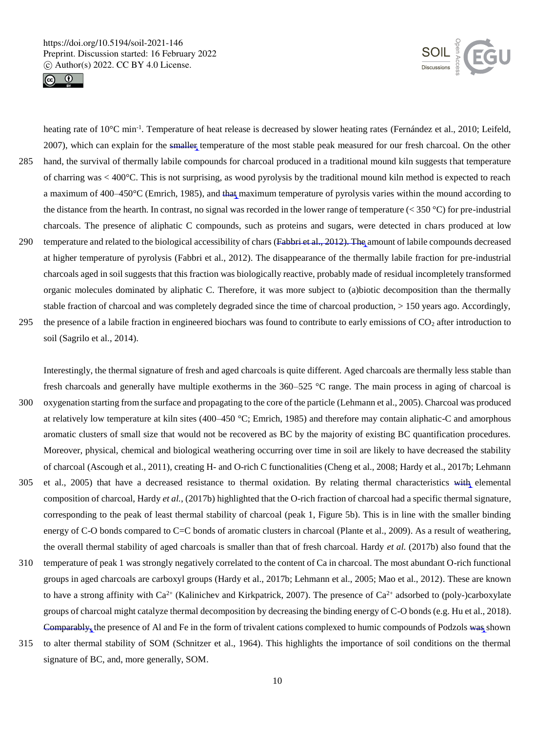



heating rate of 10°C min<sup>-1</sup>. Temperature of heat release is decreased by slower heating rates (Fernández et al., 2010; Leifeld, 2007), which can explain for the smaller temperature of the most stable peak measured for our fresh charcoal. On the other 285 hand, the survival of thermally labile compounds for charcoal produced in a traditional mound kiln suggests that temperature of charring was < 400°C. This is not surprising, as wood pyrolysis by the traditional mound kiln method is expected to reach a maximum of 400–450°C (Emrich, 1985), and that maximum temperature of pyrolysis varies within the mound according to the distance from the hearth. In contrast, no signal was recorded in the lower range of temperature  $($  350 °C) for pre-industrial charcoals. The presence of aliphatic C compounds, such as proteins and sugars, were detected in chars produced at low 290 temperature and related to the biological accessibility of chars (Fabbri et al., 2012). The amount of labile compounds decreased at higher temperature of pyrolysis (Fabbri et al., 2012). The disappearance of the thermally labile fraction for pre-industrial charcoals aged in soil suggests that this fraction was biologically reactive, probably made of residual incompletely transformed

stable fraction of charcoal and was completely degraded since the time of charcoal production, > 150 years ago. Accordingly, 295 the presence of a labile fraction in engineered biochars was found to contribute to early emissions of  $CO<sub>2</sub>$  after introduction to soil (Sagrilo et al., 2014).

organic molecules dominated by aliphatic C. Therefore, it was more subject to (a)biotic decomposition than the thermally

Interestingly, the thermal signature of fresh and aged charcoals is quite different. Aged charcoals are thermally less stable than fresh charcoals and generally have multiple exotherms in the 360–525 °C range. The main process in aging of charcoal is

- 300 oxygenation starting from the surface and propagating to the core of the particle (Lehmann et al., 2005). Charcoal was produced at relatively low temperature at kiln sites (400–450 °C; Emrich, 1985) and therefore may contain aliphatic-C and amorphous aromatic clusters of small size that would not be recovered as BC by the majority of existing BC quantification procedures. Moreover, physical, chemical and biological weathering occurring over time in soil are likely to have decreased the stability of charcoal (Ascough et al., 2011), creating H- and O-rich C functionalities (Cheng et al., 2008; Hardy et al., 2017b; Lehmann
- 305 et al., 2005) that have a decreased resistance to thermal oxidation. By relating thermal characteristics with elemental composition of charcoal, Hardy *et al.*, (2017b) highlighted that the O-rich fraction of charcoal had a specific thermal signature, corresponding to the peak of least thermal stability of charcoal (peak 1, Figure 5b). This is in line with the smaller binding energy of C-O bonds compared to C=C bonds of aromatic clusters in charcoal (Plante et al., 2009). As a result of weathering, the overall thermal stability of aged charcoals is smaller than that of fresh charcoal. Hardy *et al.* (2017b) also found that the
- 310 temperature of peak 1 was strongly negatively correlated to the content of Ca in charcoal. The most abundant O-rich functional groups in aged charcoals are carboxyl groups (Hardy et al., 2017b; Lehmann et al., 2005; Mao et al., 2012). These are known to have a strong affinity with  $Ca^{2+}$  (Kalinichev and Kirkpatrick, 2007). The presence of  $Ca^{2+}$  adsorbed to (poly-)carboxylate groups of charcoal might catalyze thermal decomposition by decreasing the binding energy of C-O bonds (e.g. Hu et al., 2018). Comparably, the presence of Al and Fe in the form of trivalent cations complexed to humic compounds of Podzols was shown
- 315 to alter thermal stability of SOM (Schnitzer et al., 1964). This highlights the importance of soil conditions on the thermal signature of BC, and, more generally, SOM.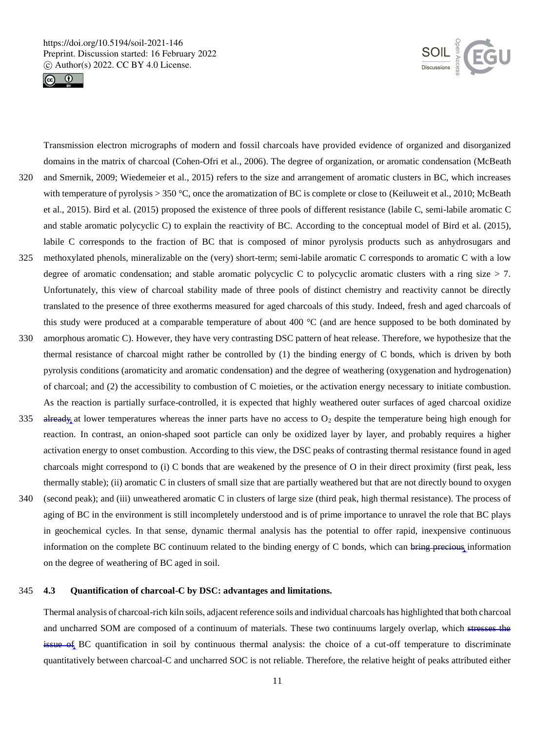



Transmission electron micrographs of modern and fossil charcoals have provided evidence of organized and disorganized domains in the matrix of charcoal (Cohen-Ofri et al., 2006). The degree of organization, or aromatic condensation (McBeath 320 and Smernik, 2009; Wiedemeier et al., 2015) refers to the size and arrangement of aromatic clusters in BC, which increases with temperature of pyrolysis > 350 °C, once the aromatization of BC is complete or close to (Keiluweit et al., 2010; McBeath et al., 2015). Bird et al. (2015) proposed the existence of three pools of different resistance (labile C, semi-labile aromatic C and stable aromatic polycyclic C) to explain the reactivity of BC. According to the conceptual model of Bird et al. (2015), labile C corresponds to the fraction of BC that is composed of minor pyrolysis products such as anhydrosugars and 325 methoxylated phenols, mineralizable on the (very) short-term; semi-labile aromatic C corresponds to aromatic C with a low degree of aromatic condensation; and stable aromatic polycyclic C to polycyclic aromatic clusters with a ring size  $> 7$ . Unfortunately, this view of charcoal stability made of three pools of distinct chemistry and reactivity cannot be directly translated to the presence of three exotherms measured for aged charcoals of this study. Indeed, fresh and aged charcoals of this study were produced at a comparable temperature of about 400 °C (and are hence supposed to be both dominated by 330 amorphous aromatic C). However, they have very contrasting DSC pattern of heat release. Therefore, we hypothesize that the thermal resistance of charcoal might rather be controlled by (1) the binding energy of C bonds, which is driven by both pyrolysis conditions (aromaticity and aromatic condensation) and the degree of weathering (oxygenation and hydrogenation)

As the reaction is partially surface-controlled, it is expected that highly weathered outer surfaces of aged charcoal oxidize 335 already at lower temperatures whereas the inner parts have no access to  $O_2$  despite the temperature being high enough for reaction. In contrast, an onion-shaped soot particle can only be oxidized layer by layer, and probably requires a higher activation energy to onset combustion. According to this view, the DSC peaks of contrasting thermal resistance found in aged charcoals might correspond to (i) C bonds that are weakened by the presence of O in their direct proximity (first peak, less thermally stable); (ii) aromatic C in clusters of small size that are partially weathered but that are not directly bound to oxygen

of charcoal; and (2) the accessibility to combustion of C moieties, or the activation energy necessary to initiate combustion.

340 (second peak); and (iii) unweathered aromatic C in clusters of large size (third peak, high thermal resistance). The process of aging of BC in the environment is still incompletely understood and is of prime importance to unravel the role that BC plays in geochemical cycles. In that sense, dynamic thermal analysis has the potential to offer rapid, inexpensive continuous information on the complete BC continuum related to the binding energy of C bonds, which can bring precious information on the degree of weathering of BC aged in soil.

## 345 **4.3 Quantification of charcoal-C by DSC: advantages and limitations.**

Thermal analysis of charcoal-rich kiln soils, adjacent reference soils and individual charcoals has highlighted that both charcoal and uncharred SOM are composed of a continuum of materials. These two continuums largely overlap, which stresses the issue of BC quantification in soil by continuous thermal analysis: the choice of a cut-off temperature to discriminate quantitatively between charcoal-C and uncharred SOC is not reliable. Therefore, the relative height of peaks attributed either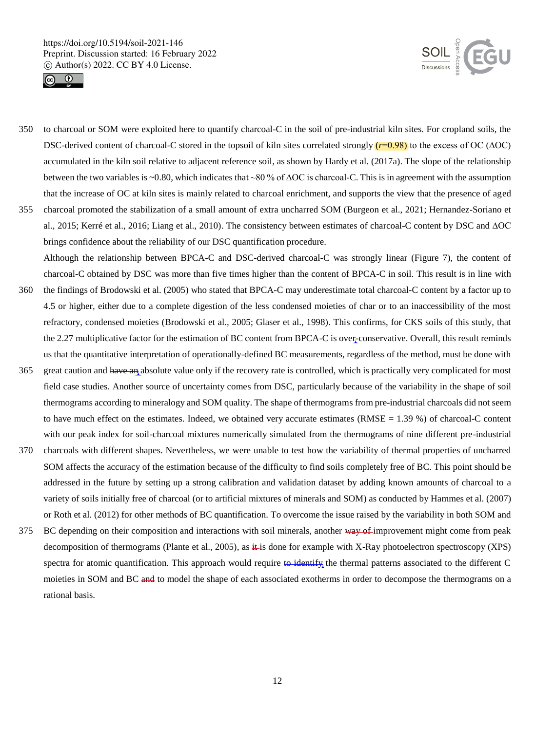



- 350 to charcoal or SOM were exploited here to quantify charcoal-C in the soil of pre-industrial kiln sites. For cropland soils, the DSC-derived content of charcoal-C stored in the topsoil of kiln sites correlated strongly (*r*=0.98) to the excess of OC (∆OC) accumulated in the kiln soil relative to adjacent reference soil, as shown by Hardy et al. (2017a). The slope of the relationship between the two variables is ~0.80, which indicates that ~80 % of ∆OC is charcoal-C. This is in agreement with the assumption that the increase of OC at kiln sites is mainly related to charcoal enrichment, and supports the view that the presence of aged 355 charcoal promoted the stabilization of a small amount of extra uncharred SOM (Burgeon et al., 2021; Hernandez-Soriano et
- al., 2015; Kerré et al., 2016; Liang et al., 2010). The consistency between estimates of charcoal-C content by DSC and ∆OC brings confidence about the reliability of our DSC quantification procedure. Although the relationship between BPCA-C and DSC-derived charcoal-C was strongly linear (Figure 7), the content of
- charcoal-C obtained by DSC was more than five times higher than the content of BPCA-C in soil. This result is in line with 360 the findings of Brodowski et al. (2005) who stated that BPCA-C may underestimate total charcoal-C content by a factor up to 4.5 or higher, either due to a complete digestion of the less condensed moieties of char or to an inaccessibility of the most refractory, condensed moieties (Brodowski et al., 2005; Glaser et al., 1998). This confirms, for CKS soils of this study, that the 2.27 multiplicative factor for the estimation of BC content from BPCA-C is over-conservative. Overall, this result reminds us that the quantitative interpretation of operationally-defined BC measurements, regardless of the method, must be done with
- 365 great caution and have an absolute value only if the recovery rate is controlled, which is practically very complicated for most field case studies. Another source of uncertainty comes from DSC, particularly because of the variability in the shape of soil thermograms according to mineralogy and SOM quality. The shape of thermograms from pre-industrial charcoals did not seem to have much effect on the estimates. Indeed, we obtained very accurate estimates  $(RMSE = 1.39\%)$  of charcoal-C content with our peak index for soil-charcoal mixtures numerically simulated from the thermograms of nine different pre-industrial
- 370 charcoals with different shapes. Nevertheless, we were unable to test how the variability of thermal properties of uncharred SOM affects the accuracy of the estimation because of the difficulty to find soils completely free of BC. This point should be addressed in the future by setting up a strong calibration and validation dataset by adding known amounts of charcoal to a variety of soils initially free of charcoal (or to artificial mixtures of minerals and SOM) as conducted by Hammes et al. (2007) or Roth et al. (2012) for other methods of BC quantification. To overcome the issue raised by the variability in both SOM and
- 375 BC depending on their composition and interactions with soil minerals, another way of improvement might come from peak decomposition of thermograms (Plante et al., 2005), as it is done for example with X-Ray photoelectron spectroscopy (XPS) spectra for atomic quantification. This approach would require to identify the thermal patterns associated to the different C moieties in SOM and BC and to model the shape of each associated exotherms in order to decompose the thermograms on a rational basis.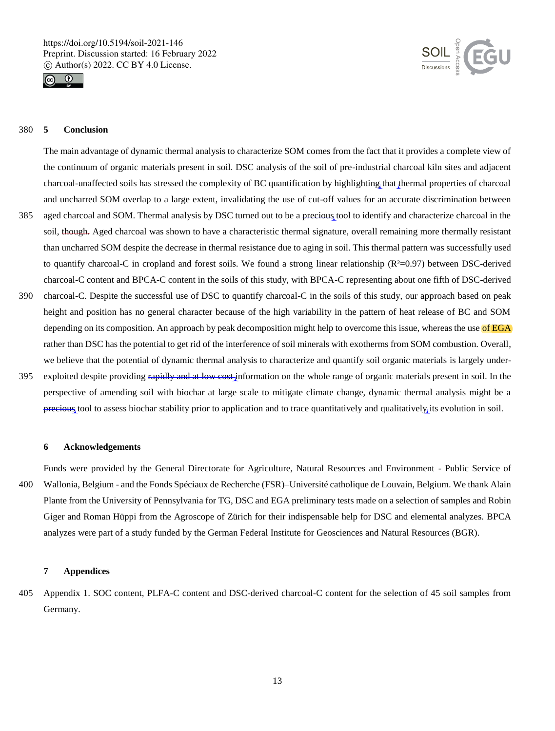



## 380 **5 Conclusion**

The main advantage of dynamic thermal analysis to characterize SOM comes from the fact that it provides a complete view of the continuum of organic materials present in soil. DSC analysis of the soil of pre-industrial charcoal kiln sites and adjacent charcoal-unaffected soils has stressed the complexity of BC quantification by highlighting that thermal properties of charcoal and uncharred SOM overlap to a large extent, invalidating the use of cut-off values for an accurate discrimination between

- 385 aged charcoal and SOM. Thermal analysis by DSC turned out to be a precious tool to identify and characterize charcoal in the soil, though. Aged charcoal was shown to have a characteristic thermal signature, overall remaining more thermally resistant than uncharred SOM despite the decrease in thermal resistance due to aging in soil. This thermal pattern was successfully used to quantify charcoal-C in cropland and forest soils. We found a strong linear relationship  $(R<sup>2</sup>=0.97)$  between DSC-derived charcoal-C content and BPCA-C content in the soils of this study, with BPCA-C representing about one fifth of DSC-derived
- 390 charcoal-C. Despite the successful use of DSC to quantify charcoal-C in the soils of this study, our approach based on peak height and position has no general character because of the high variability in the pattern of heat release of BC and SOM depending on its composition. An approach by peak decomposition might help to overcome this issue, whereas the use of EGA rather than DSC has the potential to get rid of the interference of soil minerals with exotherms from SOM combustion. Overall, we believe that the potential of dynamic thermal analysis to characterize and quantify soil organic materials is largely under-
- 395 exploited despite providing rapidly and at low cost information on the whole range of organic materials present in soil. In the perspective of amending soil with biochar at large scale to mitigate climate change, dynamic thermal analysis might be a precious tool to assess biochar stability prior to application and to trace quantitatively and qualitatively its evolution in soil.

#### **6 Acknowledgements**

Funds were provided by the General Directorate for Agriculture, Natural Resources and Environment - Public Service of 400 Wallonia, Belgium - and the Fonds Spéciaux de Recherche (FSR)–Université catholique de Louvain, Belgium. We thank Alain Plante from the University of Pennsylvania for TG, DSC and EGA preliminary tests made on a selection of samples and Robin Giger and Roman Hüppi from the Agroscope of Zürich for their indispensable help for DSC and elemental analyzes. BPCA analyzes were part of a study funded by the German Federal Institute for Geosciences and Natural Resources (BGR).

## **7 Appendices**

405 Appendix 1. SOC content, PLFA-C content and DSC-derived charcoal-C content for the selection of 45 soil samples from Germany.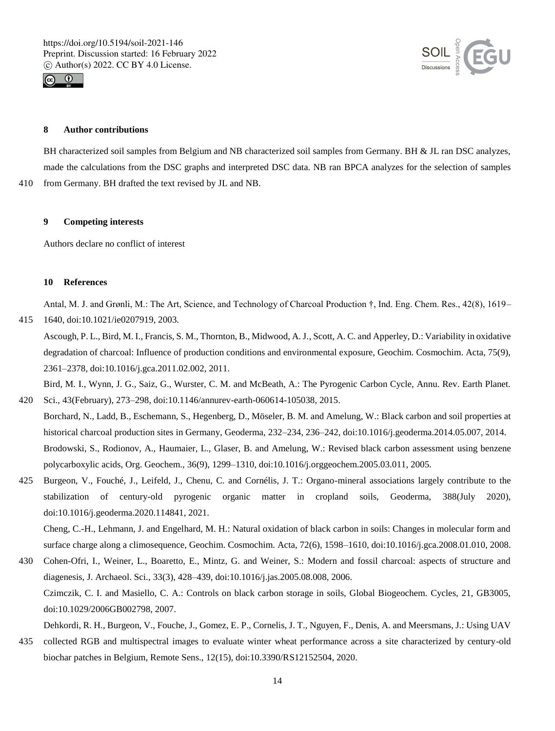



## **8 Author contributions**

BH characterized soil samples from Belgium and NB characterized soil samples from Germany. BH & JL ran DSC analyzes, made the calculations from the DSC graphs and interpreted DSC data. NB ran BPCA analyzes for the selection of samples 410 from Germany. BH drafted the text revised by JL and NB.

#### **9 Competing interests**

Authors declare no conflict of interest

#### **10 References**

Antal, M. J. and Grønli, M.: The Art, Science, and Technology of Charcoal Production †, Ind. Eng. Chem. Res., 42(8), 1619–

415 1640, doi:10.1021/ie0207919, 2003.

Ascough, P. L., Bird, M. I., Francis, S. M., Thornton, B., Midwood, A. J., Scott, A. C. and Apperley, D.: Variability in oxidative degradation of charcoal: Influence of production conditions and environmental exposure, Geochim. Cosmochim. Acta, 75(9), 2361–2378, doi:10.1016/j.gca.2011.02.002, 2011.

Bird, M. I., Wynn, J. G., Saiz, G., Wurster, C. M. and McBeath, A.: The Pyrogenic Carbon Cycle, Annu. Rev. Earth Planet.

- 420 Sci., 43(February), 273–298, doi:10.1146/annurev-earth-060614-105038, 2015. Borchard, N., Ladd, B., Eschemann, S., Hegenberg, D., Möseler, B. M. and Amelung, W.: Black carbon and soil properties at historical charcoal production sites in Germany, Geoderma, 232–234, 236–242, doi:10.1016/j.geoderma.2014.05.007, 2014. Brodowski, S., Rodionov, A., Haumaier, L., Glaser, B. and Amelung, W.: Revised black carbon assessment using benzene polycarboxylic acids, Org. Geochem., 36(9), 1299–1310, doi:10.1016/j.orggeochem.2005.03.011, 2005.
- 425 Burgeon, V., Fouché, J., Leifeld, J., Chenu, C. and Cornélis, J. T.: Organo-mineral associations largely contribute to the stabilization of century-old pyrogenic organic matter in cropland soils, Geoderma, 388(July 2020), doi:10.1016/j.geoderma.2020.114841, 2021.

Cheng, C.-H., Lehmann, J. and Engelhard, M. H.: Natural oxidation of black carbon in soils: Changes in molecular form and surface charge along a climosequence, Geochim. Cosmochim. Acta, 72(6), 1598–1610, doi:10.1016/j.gca.2008.01.010, 2008.

430 Cohen-Ofri, I., Weiner, L., Boaretto, E., Mintz, G. and Weiner, S.: Modern and fossil charcoal: aspects of structure and diagenesis, J. Archaeol. Sci., 33(3), 428–439, doi:10.1016/j.jas.2005.08.008, 2006. Czimczik, C. I. and Masiello, C. A.: Controls on black carbon storage in soils, Global Biogeochem. Cycles, 21, GB3005, doi:10.1029/2006GB002798, 2007.

Dehkordi, R. H., Burgeon, V., Fouche, J., Gomez, E. P., Cornelis, J. T., Nguyen, F., Denis, A. and Meersmans, J.: Using UAV

435 collected RGB and multispectral images to evaluate winter wheat performance across a site characterized by century-old biochar patches in Belgium, Remote Sens., 12(15), doi:10.3390/RS12152504, 2020.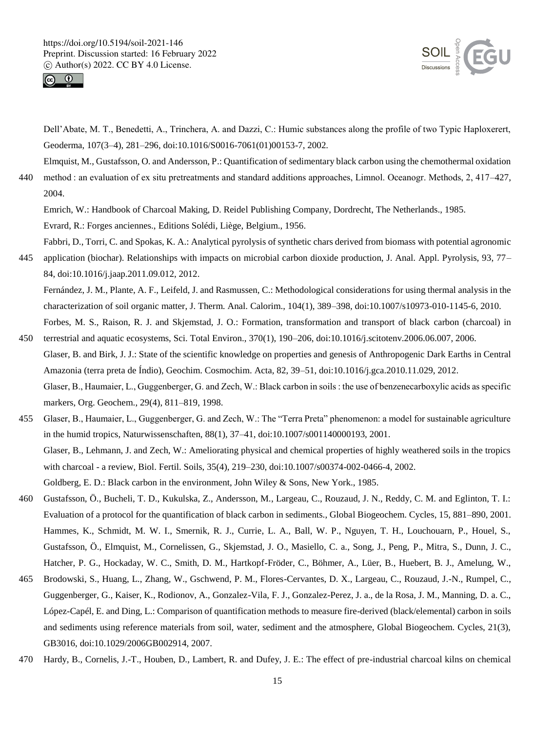



Dell'Abate, M. T., Benedetti, A., Trinchera, A. and Dazzi, C.: Humic substances along the profile of two Typic Haploxerert, Geoderma, 107(3–4), 281–296, doi:10.1016/S0016-7061(01)00153-7, 2002.

Elmquist, M., Gustafsson, O. and Andersson, P.: Quantification of sedimentary black carbon using the chemothermal oxidation 440 method : an evaluation of ex situ pretreatments and standard additions approaches, Limnol. Oceanogr. Methods, 2, 417–427, 2004.

Emrich, W.: Handbook of Charcoal Making, D. Reidel Publishing Company, Dordrecht, The Netherlands., 1985. Evrard, R.: Forges anciennes., Editions Solédi, Liège, Belgium., 1956.

Fabbri, D., Torri, C. and Spokas, K. A.: Analytical pyrolysis of synthetic chars derived from biomass with potential agronomic 445 application (biochar). Relationships with impacts on microbial carbon dioxide production, J. Anal. Appl. Pyrolysis, 93, 77– 84, doi:10.1016/j.jaap.2011.09.012, 2012.

Fernández, J. M., Plante, A. F., Leifeld, J. and Rasmussen, C.: Methodological considerations for using thermal analysis in the characterization of soil organic matter, J. Therm. Anal. Calorim., 104(1), 389–398, doi:10.1007/s10973-010-1145-6, 2010. Forbes, M. S., Raison, R. J. and Skjemstad, J. O.: Formation, transformation and transport of black carbon (charcoal) in

- 450 terrestrial and aquatic ecosystems, Sci. Total Environ., 370(1), 190–206, doi:10.1016/j.scitotenv.2006.06.007, 2006. Glaser, B. and Birk, J. J.: State of the scientific knowledge on properties and genesis of Anthropogenic Dark Earths in Central Amazonia (terra preta de Índio), Geochim. Cosmochim. Acta, 82, 39–51, doi:10.1016/j.gca.2010.11.029, 2012. Glaser, B., Haumaier, L., Guggenberger, G. and Zech, W.: Black carbon in soils : the use of benzenecarboxylic acids as specific markers, Org. Geochem., 29(4), 811–819, 1998.
- 455 Glaser, B., Haumaier, L., Guggenberger, G. and Zech, W.: The "Terra Preta" phenomenon: a model for sustainable agriculture in the humid tropics, Naturwissenschaften, 88(1), 37–41, doi:10.1007/s001140000193, 2001. Glaser, B., Lehmann, J. and Zech, W.: Ameliorating physical and chemical properties of highly weathered soils in the tropics with charcoal - a review, Biol. Fertil. Soils, 35(4), 219–230, doi:10.1007/s00374-002-0466-4, 2002. Goldberg, E. D.: Black carbon in the environment, John Wiley & Sons, New York., 1985.
- 460 Gustafsson, Ö., Bucheli, T. D., Kukulska, Z., Andersson, M., Largeau, C., Rouzaud, J. N., Reddy, C. M. and Eglinton, T. I.: Evaluation of a protocol for the quantification of black carbon in sediments., Global Biogeochem. Cycles, 15, 881–890, 2001. Hammes, K., Schmidt, M. W. I., Smernik, R. J., Currie, L. A., Ball, W. P., Nguyen, T. H., Louchouarn, P., Houel, S., Gustafsson, Ö., Elmquist, M., Cornelissen, G., Skjemstad, J. O., Masiello, C. a., Song, J., Peng, P., Mitra, S., Dunn, J. C., Hatcher, P. G., Hockaday, W. C., Smith, D. M., Hartkopf-Fröder, C., Böhmer, A., Lüer, B., Huebert, B. J., Amelung, W.,
- 465 Brodowski, S., Huang, L., Zhang, W., Gschwend, P. M., Flores-Cervantes, D. X., Largeau, C., Rouzaud, J.-N., Rumpel, C., Guggenberger, G., Kaiser, K., Rodionov, A., Gonzalez-Vila, F. J., Gonzalez-Perez, J. a., de la Rosa, J. M., Manning, D. a. C., López-Capél, E. and Ding, L.: Comparison of quantification methods to measure fire-derived (black/elemental) carbon in soils and sediments using reference materials from soil, water, sediment and the atmosphere, Global Biogeochem. Cycles, 21(3), GB3016, doi:10.1029/2006GB002914, 2007.
- 470 Hardy, B., Cornelis, J.-T., Houben, D., Lambert, R. and Dufey, J. E.: The effect of pre-industrial charcoal kilns on chemical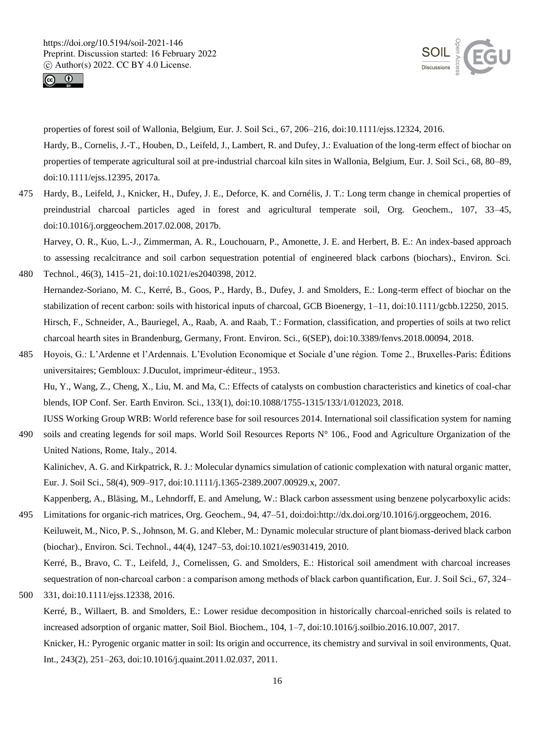



properties of forest soil of Wallonia, Belgium, Eur. J. Soil Sci., 67, 206–216, doi:10.1111/ejss.12324, 2016.

Hardy, B., Cornelis, J.-T., Houben, D., Leifeld, J., Lambert, R. and Dufey, J.: Evaluation of the long-term effect of biochar on properties of temperate agricultural soil at pre-industrial charcoal kiln sites in Wallonia, Belgium, Eur. J. Soil Sci., 68, 80–89, doi:10.1111/ejss.12395, 2017a.

475 Hardy, B., Leifeld, J., Knicker, H., Dufey, J. E., Deforce, K. and Cornélis, J. T.: Long term change in chemical properties of preindustrial charcoal particles aged in forest and agricultural temperate soil, Org. Geochem., 107, 33–45, doi:10.1016/j.orggeochem.2017.02.008, 2017b.

Harvey, O. R., Kuo, L.-J., Zimmerman, A. R., Louchouarn, P., Amonette, J. E. and Herbert, B. E.: An index-based approach to assessing recalcitrance and soil carbon sequestration potential of engineered black carbons (biochars)., Environ. Sci.

- 480 Technol., 46(3), 1415–21, doi:10.1021/es2040398, 2012. Hernandez-Soriano, M. C., Kerré, B., Goos, P., Hardy, B., Dufey, J. and Smolders, E.: Long-term effect of biochar on the stabilization of recent carbon: soils with historical inputs of charcoal, GCB Bioenergy, 1–11, doi:10.1111/gcbb.12250, 2015. Hirsch, F., Schneider, A., Bauriegel, A., Raab, A. and Raab, T.: Formation, classification, and properties of soils at two relict charcoal hearth sites in Brandenburg, Germany, Front. Environ. Sci., 6(SEP), doi:10.3389/fenvs.2018.00094, 2018.
- 485 Hoyois, G.: L'Ardenne et l'Ardennais. L'Evolution Economique et Sociale d'une région. Tome 2., Bruxelles-Paris: Éditions universitaires; Gembloux: J.Duculot, imprimeur-éditeur., 1953.

Hu, Y., Wang, Z., Cheng, X., Liu, M. and Ma, C.: Effects of catalysts on combustion characteristics and kinetics of coal-char blends, IOP Conf. Ser. Earth Environ. Sci., 133(1), doi:10.1088/1755-1315/133/1/012023, 2018.

IUSS Working Group WRB: World reference base for soil resources 2014. International soil classification system for naming 490 soils and creating legends for soil maps. World Soil Resources Reports  $N^{\circ}$  106., Food and Agriculture Organization of the United Nations, Rome, Italy., 2014.

Kalinichev, A. G. and Kirkpatrick, R. J.: Molecular dynamics simulation of cationic complexation with natural organic matter, Eur. J. Soil Sci., 58(4), 909–917, doi:10.1111/j.1365-2389.2007.00929.x, 2007.

Kappenberg, A., Bläsing, M., Lehndorff, E. and Amelung, W.: Black carbon assessment using benzene polycarboxylic acids: 495 Limitations for organic-rich matrices, Org. Geochem., 94, 47–51, doi:doi:http://dx.doi.org/10.1016/j.orggeochem, 2016.

Keiluweit, M., Nico, P. S., Johnson, M. G. and Kleber, M.: Dynamic molecular structure of plant biomass-derived black carbon (biochar)., Environ. Sci. Technol., 44(4), 1247–53, doi:10.1021/es9031419, 2010. Kerré, B., Bravo, C. T., Leifeld, J., Cornelissen, G. and Smolders, E.: Historical soil amendment with charcoal increases

sequestration of non-charcoal carbon : a comparison among methods of black carbon quantification, Eur. J. Soil Sci., 67, 324– 500 331, doi:10.1111/ejss.12338, 2016.

Kerré, B., Willaert, B. and Smolders, E.: Lower residue decomposition in historically charcoal-enriched soils is related to increased adsorption of organic matter, Soil Biol. Biochem., 104, 1–7, doi:10.1016/j.soilbio.2016.10.007, 2017. Knicker, H.: Pyrogenic organic matter in soil: Its origin and occurrence, its chemistry and survival in soil environments, Quat.

Int., 243(2), 251–263, doi:10.1016/j.quaint.2011.02.037, 2011.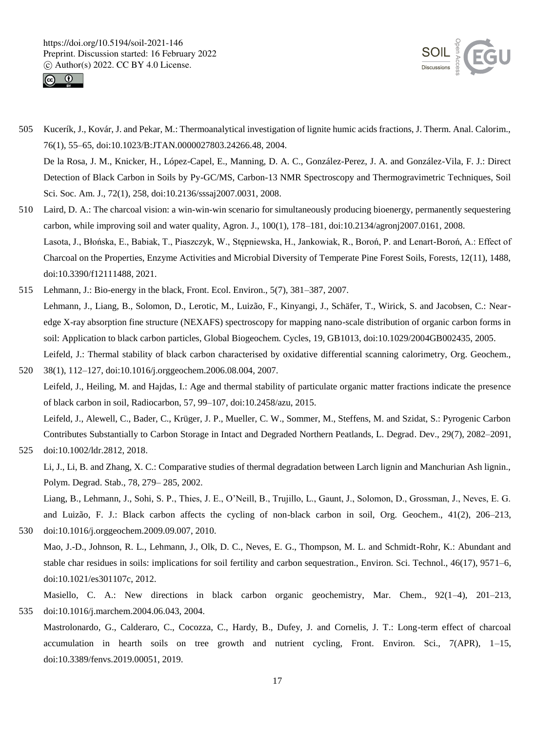



505 Kucerík, J., Kovár, J. and Pekar, M.: Thermoanalytical investigation of lignite humic acids fractions, J. Therm. Anal. Calorim., 76(1), 55–65, doi:10.1023/B:JTAN.0000027803.24266.48, 2004. De la Rosa, J. M., Knicker, H., López-Capel, E., Manning, D. A. C., González-Perez, J. A. and González-Vila, F. J.: Direct Detection of Black Carbon in Soils by Py-GC/MS, Carbon-13 NMR Spectroscopy and Thermogravimetric Techniques, Soil

Sci. Soc. Am. J., 72(1), 258, doi:10.2136/sssaj2007.0031, 2008.

- 510 Laird, D. A.: The charcoal vision: a win-win-win scenario for simultaneously producing bioenergy, permanently sequestering carbon, while improving soil and water quality, Agron. J., 100(1), 178–181, doi:10.2134/agronj2007.0161, 2008. Lasota, J., Błońska, E., Babiak, T., Piaszczyk, W., Stępniewska, H., Jankowiak, R., Boroń, P. and Lenart-Boroń, A.: Effect of Charcoal on the Properties, Enzyme Activities and Microbial Diversity of Temperate Pine Forest Soils, Forests, 12(11), 1488, doi:10.3390/f12111488, 2021.
- 515 Lehmann, J.: Bio-energy in the black, Front. Ecol. Environ., 5(7), 381–387, 2007. Lehmann, J., Liang, B., Solomon, D., Lerotic, M., Luizão, F., Kinyangi, J., Schäfer, T., Wirick, S. and Jacobsen, C.: Nearedge X-ray absorption fine structure (NEXAFS) spectroscopy for mapping nano-scale distribution of organic carbon forms in soil: Application to black carbon particles, Global Biogeochem. Cycles, 19, GB1013, doi:10.1029/2004GB002435, 2005. Leifeld, J.: Thermal stability of black carbon characterised by oxidative differential scanning calorimetry, Org. Geochem.,
- 520 38(1), 112–127, doi:10.1016/j.orggeochem.2006.08.004, 2007. Leifeld, J., Heiling, M. and Hajdas, I.: Age and thermal stability of particulate organic matter fractions indicate the presence of black carbon in soil, Radiocarbon, 57, 99–107, doi:10.2458/azu, 2015. Leifeld, J., Alewell, C., Bader, C., Krüger, J. P., Mueller, C. W., Sommer, M., Steffens, M. and Szidat, S.: Pyrogenic Carbon Contributes Substantially to Carbon Storage in Intact and Degraded Northern Peatlands, L. Degrad. Dev., 29(7), 2082–2091,

```
525 doi:10.1002/ldr.2812, 2018.
```
Li, J., Li, B. and Zhang, X. C.: Comparative studies of thermal degradation between Larch lignin and Manchurian Ash lignin., Polym. Degrad. Stab., 78, 279– 285, 2002.

Liang, B., Lehmann, J., Sohi, S. P., Thies, J. E., O'Neill, B., Trujillo, L., Gaunt, J., Solomon, D., Grossman, J., Neves, E. G. and Luizão, F. J.: Black carbon affects the cycling of non-black carbon in soil, Org. Geochem., 41(2), 206–213, 530 doi:10.1016/j.orggeochem.2009.09.007, 2010.

Mao, J.-D., Johnson, R. L., Lehmann, J., Olk, D. C., Neves, E. G., Thompson, M. L. and Schmidt-Rohr, K.: Abundant and stable char residues in soils: implications for soil fertility and carbon sequestration., Environ. Sci. Technol., 46(17), 9571–6, doi:10.1021/es301107c, 2012.

Masiello, C. A.: New directions in black carbon organic geochemistry, Mar. Chem., 92(1–4), 201–213, 535 doi:10.1016/j.marchem.2004.06.043, 2004.

Mastrolonardo, G., Calderaro, C., Cocozza, C., Hardy, B., Dufey, J. and Cornelis, J. T.: Long-term effect of charcoal accumulation in hearth soils on tree growth and nutrient cycling, Front. Environ. Sci., 7(APR), 1–15, doi:10.3389/fenvs.2019.00051, 2019.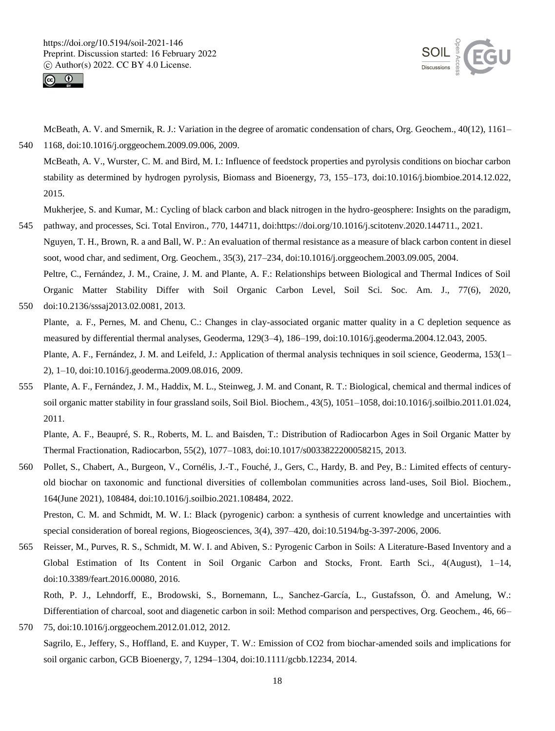



McBeath, A. V. and Smernik, R. J.: Variation in the degree of aromatic condensation of chars, Org. Geochem., 40(12), 1161– 540 1168, doi:10.1016/j.orggeochem.2009.09.006, 2009.

McBeath, A. V., Wurster, C. M. and Bird, M. I.: Influence of feedstock properties and pyrolysis conditions on biochar carbon stability as determined by hydrogen pyrolysis, Biomass and Bioenergy, 73, 155–173, doi:10.1016/j.biombioe.2014.12.022, 2015.

Mukherjee, S. and Kumar, M.: Cycling of black carbon and black nitrogen in the hydro-geosphere: Insights on the paradigm, 545 pathway, and processes, Sci. Total Environ., 770, 144711, doi:https://doi.org/10.1016/j.scitotenv.2020.144711., 2021.

Nguyen, T. H., Brown, R. a and Ball, W. P.: An evaluation of thermal resistance as a measure of black carbon content in diesel soot, wood char, and sediment, Org. Geochem., 35(3), 217–234, doi:10.1016/j.orggeochem.2003.09.005, 2004.

Peltre, C., Fernández, J. M., Craine, J. M. and Plante, A. F.: Relationships between Biological and Thermal Indices of Soil Organic Matter Stability Differ with Soil Organic Carbon Level, Soil Sci. Soc. Am. J., 77(6), 2020, 550 doi:10.2136/sssaj2013.02.0081, 2013.

Plante, a. F., Pernes, M. and Chenu, C.: Changes in clay-associated organic matter quality in a C depletion sequence as measured by differential thermal analyses, Geoderma, 129(3–4), 186–199, doi:10.1016/j.geoderma.2004.12.043, 2005.

Plante, A. F., Fernández, J. M. and Leifeld, J.: Application of thermal analysis techniques in soil science, Geoderma, 153(1– 2), 1–10, doi:10.1016/j.geoderma.2009.08.016, 2009.

555 Plante, A. F., Fernández, J. M., Haddix, M. L., Steinweg, J. M. and Conant, R. T.: Biological, chemical and thermal indices of soil organic matter stability in four grassland soils, Soil Biol. Biochem., 43(5), 1051–1058, doi:10.1016/j.soilbio.2011.01.024, 2011.

Plante, A. F., Beaupré, S. R., Roberts, M. L. and Baisden, T.: Distribution of Radiocarbon Ages in Soil Organic Matter by Thermal Fractionation, Radiocarbon, 55(2), 1077–1083, doi:10.1017/s0033822200058215, 2013.

560 Pollet, S., Chabert, A., Burgeon, V., Cornélis, J.-T., Fouché, J., Gers, C., Hardy, B. and Pey, B.: Limited effects of centuryold biochar on taxonomic and functional diversities of collembolan communities across land-uses, Soil Biol. Biochem., 164(June 2021), 108484, doi:10.1016/j.soilbio.2021.108484, 2022.

Preston, C. M. and Schmidt, M. W. I.: Black (pyrogenic) carbon: a synthesis of current knowledge and uncertainties with special consideration of boreal regions, Biogeosciences, 3(4), 397–420, doi:10.5194/bg-3-397-2006, 2006.

565 Reisser, M., Purves, R. S., Schmidt, M. W. I. and Abiven, S.: Pyrogenic Carbon in Soils: A Literature-Based Inventory and a Global Estimation of Its Content in Soil Organic Carbon and Stocks, Front. Earth Sci., 4(August), 1–14, doi:10.3389/feart.2016.00080, 2016.

Roth, P. J., Lehndorff, E., Brodowski, S., Bornemann, L., Sanchez-García, L., Gustafsson, Ö. and Amelung, W.: Differentiation of charcoal, soot and diagenetic carbon in soil: Method comparison and perspectives, Org. Geochem., 46, 66– 570 75, doi:10.1016/j.orggeochem.2012.01.012, 2012.

Sagrilo, E., Jeffery, S., Hoffland, E. and Kuyper, T. W.: Emission of CO2 from biochar-amended soils and implications for soil organic carbon, GCB Bioenergy, 7, 1294–1304, doi:10.1111/gcbb.12234, 2014.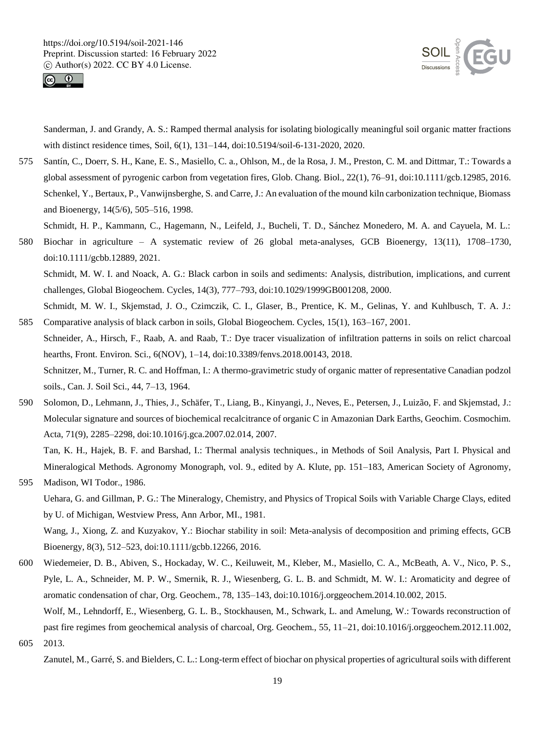



Sanderman, J. and Grandy, A. S.: Ramped thermal analysis for isolating biologically meaningful soil organic matter fractions with distinct residence times, Soil, 6(1), 131–144, doi:10.5194/soil-6-131-2020, 2020.

575 Santín, C., Doerr, S. H., Kane, E. S., Masiello, C. a., Ohlson, M., de la Rosa, J. M., Preston, C. M. and Dittmar, T.: Towards a global assessment of pyrogenic carbon from vegetation fires, Glob. Chang. Biol., 22(1), 76–91, doi:10.1111/gcb.12985, 2016. Schenkel, Y., Bertaux, P., Vanwijnsberghe, S. and Carre, J.: An evaluation of the mound kiln carbonization technique, Biomass and Bioenergy, 14(5/6), 505–516, 1998.

Schmidt, H. P., Kammann, C., Hagemann, N., Leifeld, J., Bucheli, T. D., Sánchez Monedero, M. A. and Cayuela, M. L.:

580 Biochar in agriculture – A systematic review of 26 global meta-analyses, GCB Bioenergy, 13(11), 1708–1730, doi:10.1111/gcbb.12889, 2021.

Schmidt, M. W. I. and Noack, A. G.: Black carbon in soils and sediments: Analysis, distribution, implications, and current challenges, Global Biogeochem. Cycles, 14(3), 777–793, doi:10.1029/1999GB001208, 2000.

Schmidt, M. W. I., Skjemstad, J. O., Czimczik, C. I., Glaser, B., Prentice, K. M., Gelinas, Y. and Kuhlbusch, T. A. J.: 585 Comparative analysis of black carbon in soils, Global Biogeochem. Cycles, 15(1), 163–167, 2001.

Schneider, A., Hirsch, F., Raab, A. and Raab, T.: Dye tracer visualization of infiltration patterns in soils on relict charcoal hearths, Front. Environ. Sci., 6(NOV), 1–14, doi:10.3389/fenvs.2018.00143, 2018.

Schnitzer, M., Turner, R. C. and Hoffman, I.: A thermo-gravimetric study of organic matter of representative Canadian podzol soils., Can. J. Soil Sci., 44, 7–13, 1964.

590 Solomon, D., Lehmann, J., Thies, J., Schäfer, T., Liang, B., Kinyangi, J., Neves, E., Petersen, J., Luizão, F. and Skjemstad, J.: Molecular signature and sources of biochemical recalcitrance of organic C in Amazonian Dark Earths, Geochim. Cosmochim. Acta, 71(9), 2285–2298, doi:10.1016/j.gca.2007.02.014, 2007.

Tan, K. H., Hajek, B. F. and Barshad, I.: Thermal analysis techniques., in Methods of Soil Analysis, Part I. Physical and Mineralogical Methods. Agronomy Monograph, vol. 9., edited by A. Klute, pp. 151–183, American Society of Agronomy, 595 Madison, WI Todor., 1986.

Uehara, G. and Gillman, P. G.: The Mineralogy, Chemistry, and Physics of Tropical Soils with Variable Charge Clays, edited by U. of Michigan, Westview Press, Ann Arbor, MI., 1981.

Wang, J., Xiong, Z. and Kuzyakov, Y.: Biochar stability in soil: Meta-analysis of decomposition and priming effects, GCB Bioenergy, 8(3), 512–523, doi:10.1111/gcbb.12266, 2016.

600 Wiedemeier, D. B., Abiven, S., Hockaday, W. C., Keiluweit, M., Kleber, M., Masiello, C. A., McBeath, A. V., Nico, P. S., Pyle, L. A., Schneider, M. P. W., Smernik, R. J., Wiesenberg, G. L. B. and Schmidt, M. W. I.: Aromaticity and degree of aromatic condensation of char, Org. Geochem., 78, 135–143, doi:10.1016/j.orggeochem.2014.10.002, 2015. Wolf, M., Lehndorff, E., Wiesenberg, G. L. B., Stockhausen, M., Schwark, L. and Amelung, W.: Towards reconstruction of past fire regimes from geochemical analysis of charcoal, Org. Geochem., 55, 11–21, doi:10.1016/j.orggeochem.2012.11.002,

605 2013.

Zanutel, M., Garré, S. and Bielders, C. L.: Long-term effect of biochar on physical properties of agricultural soils with different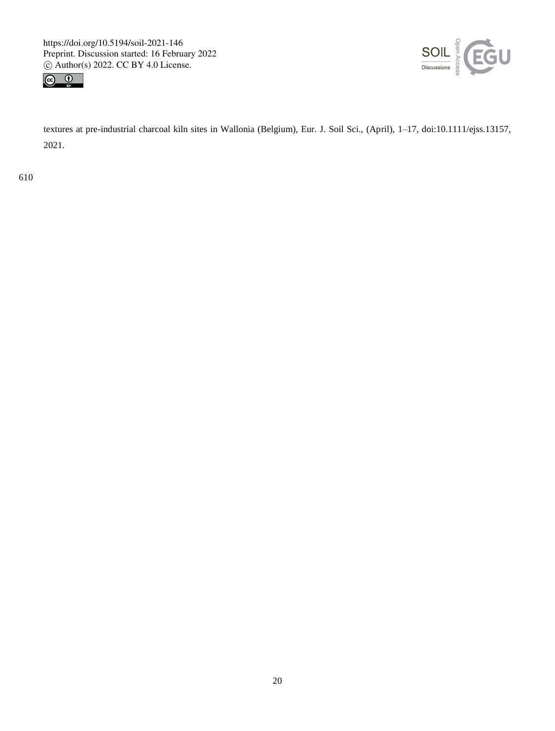



textures at pre-industrial charcoal kiln sites in Wallonia (Belgium), Eur. J. Soil Sci., (April), 1–17, doi:10.1111/ejss.13157, 2021.

610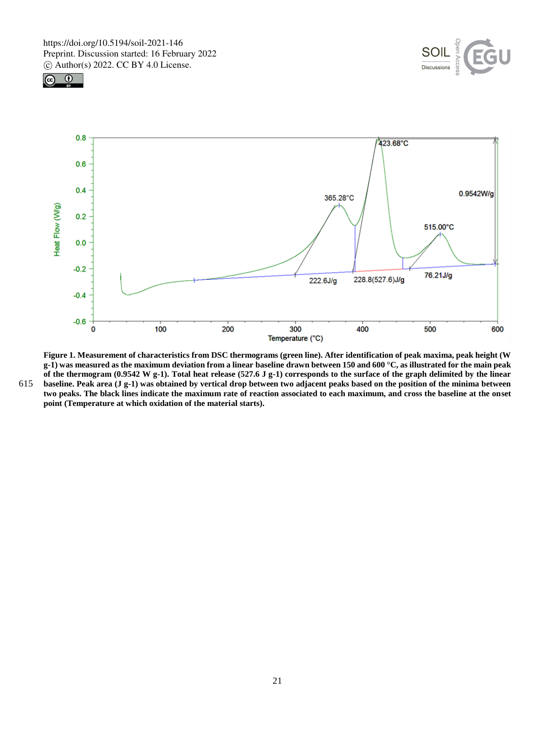





**Figure 1. Measurement of characteristics from DSC thermograms (green line). After identification of peak maxima, peak height (W g-1) was measured as the maximum deviation from a linear baseline drawn between 150 and 600 °C, as illustrated for the main peak of the thermogram (0.9542 W g-1). Total heat release (527.6 J g-1) corresponds to the surface of the graph delimited by the linear**  615 **baseline. Peak area (J g-1) was obtained by vertical drop between two adjacent peaks based on the position of the minima between two peaks. The black lines indicate the maximum rate of reaction associated to each maximum, and cross the baseline at the onset point (Temperature at which oxidation of the material starts).**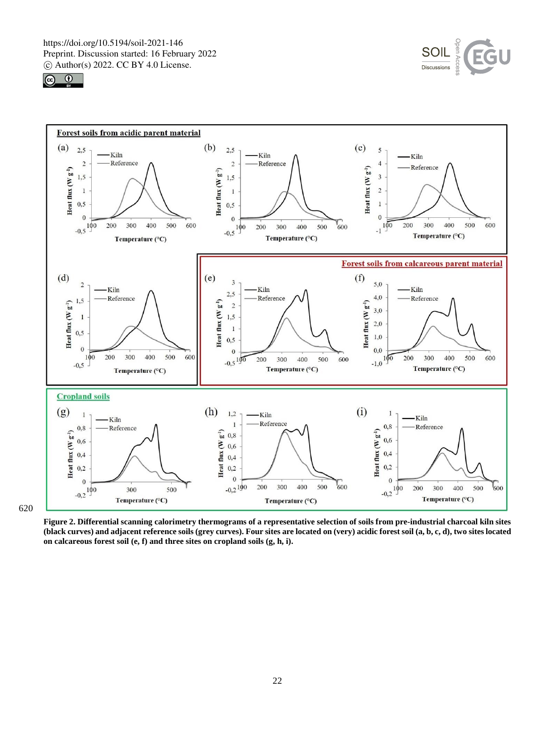





620

**Figure 2. Differential scanning calorimetry thermograms of a representative selection of soils from pre-industrial charcoal kiln sites (black curves) and adjacent reference soils (grey curves). Four sites are located on (very) acidic forest soil (a, b, c, d), two sites located on calcareous forest soil (e, f) and three sites on cropland soils (g, h, i).**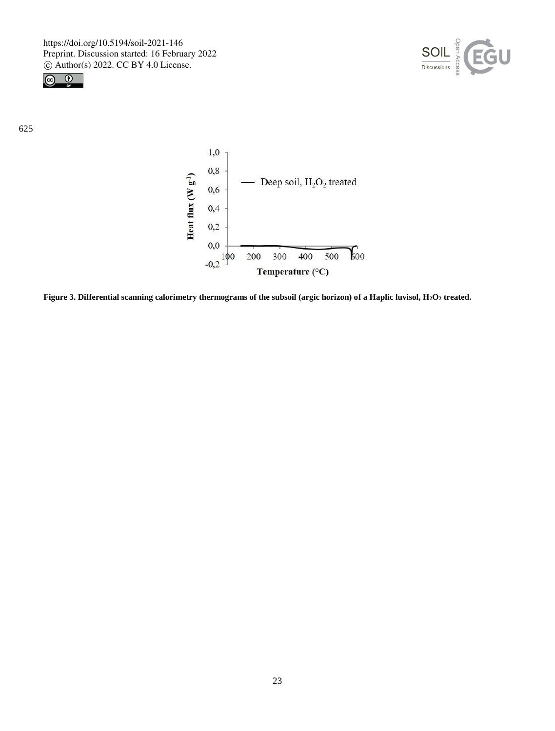



625



**Figure 3. Differential scanning calorimetry thermograms of the subsoil (argic horizon) of a Haplic luvisol, H2O<sup>2</sup> treated.**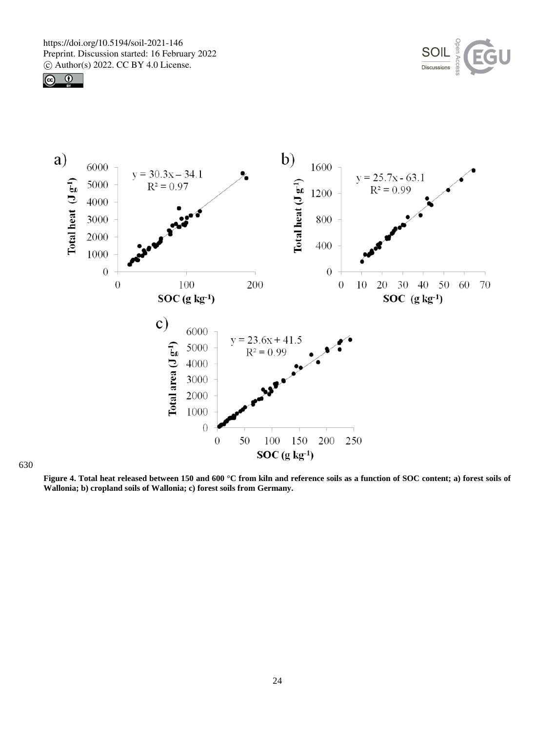





630

**Figure 4. Total heat released between 150 and 600 °C from kiln and reference soils as a function of SOC content; a) forest soils of Wallonia; b) cropland soils of Wallonia; c) forest soils from Germany.**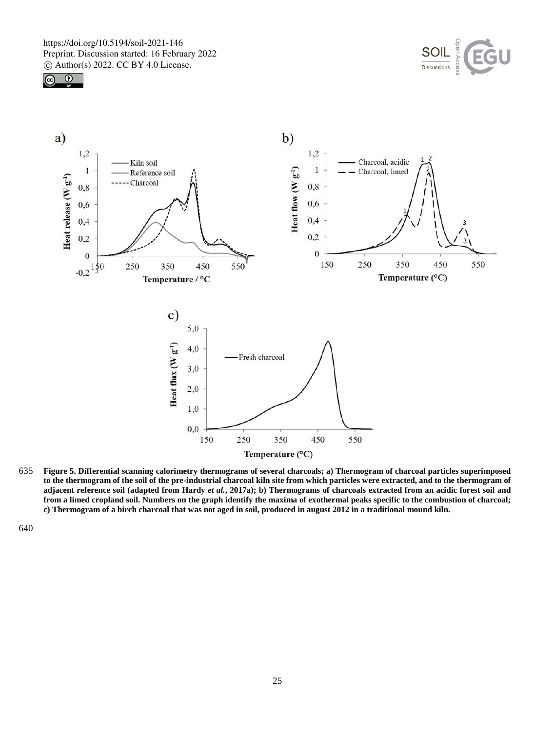





635 **Figure 5. Differential scanning calorimetry thermograms of several charcoals; a) Thermogram of charcoal particles superimposed to the thermogram of the soil of the pre-industrial charcoal kiln site from which particles were extracted, and to the thermogram of adjacent reference soil (adapted from Hardy** *et al.***, 2017a); b) Thermograms of charcoals extracted from an acidic forest soil and from a limed cropland soil. Numbers on the graph identify the maxima of exothermal peaks specific to the combustion of charcoal; c) Thermogram of a birch charcoal that was not aged in soil, produced in august 2012 in a traditional mound kiln.**

640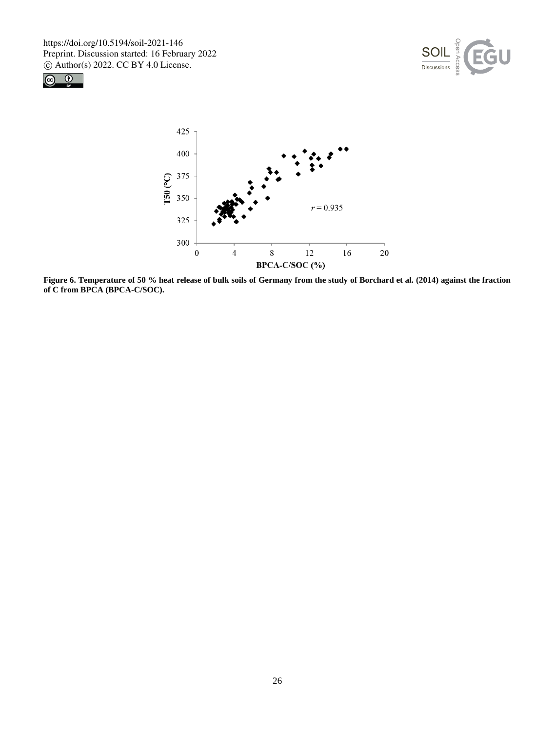





**Figure 6. Temperature of 50 % heat release of bulk soils of Germany from the study of Borchard et al. (2014) against the fraction of C from BPCA (BPCA-C/SOC).**